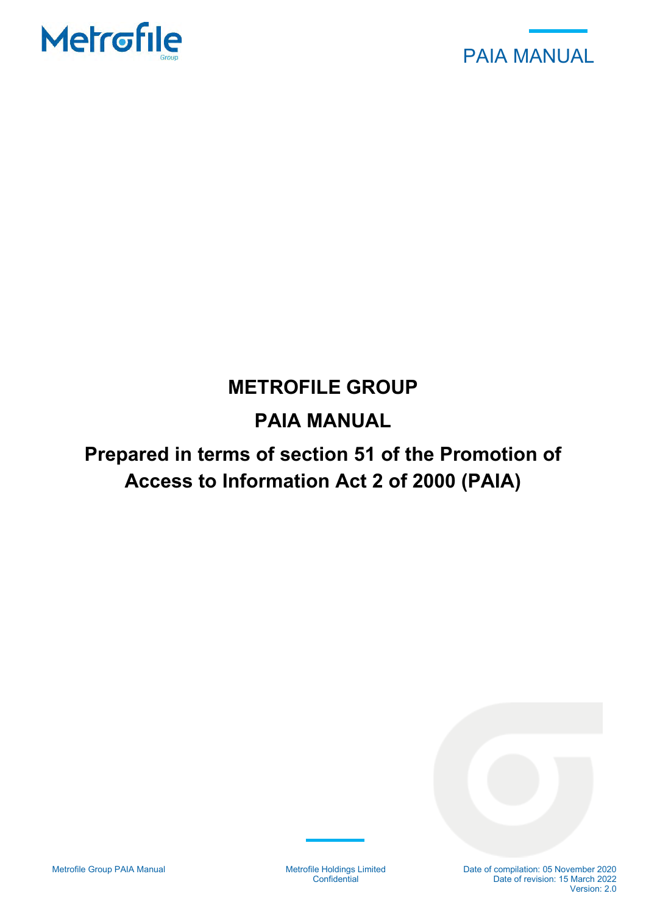



# **METROFILE GROUP**

# **PAIA MANUAL**

# **Prepared in terms of section 51 of the Promotion of Access to Information Act 2 of 2000 (PAIA)**

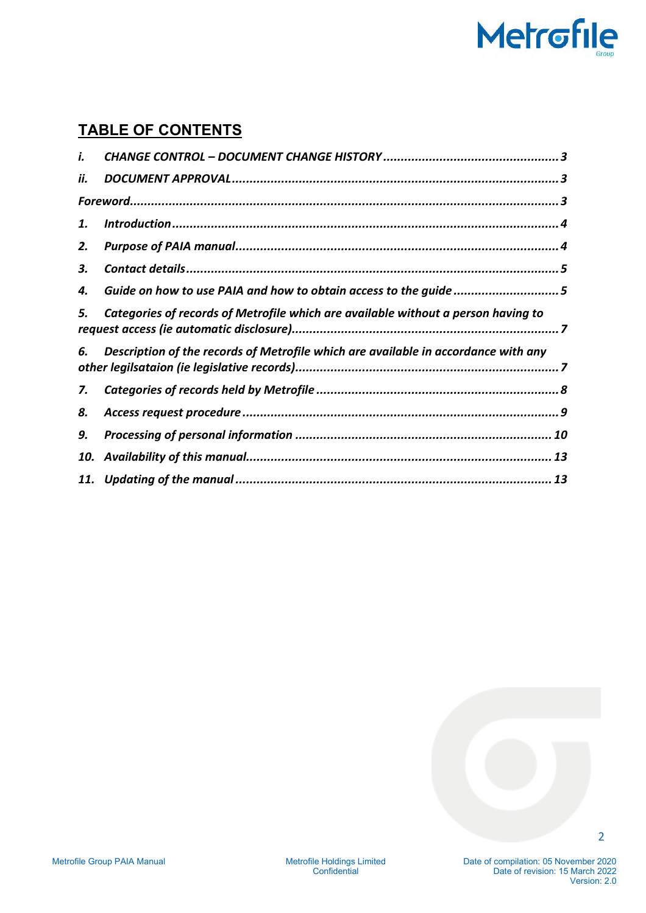# Metrofile

# **TABLE OF CONTENTS**

| i.  |                                                                                    |  |
|-----|------------------------------------------------------------------------------------|--|
| ii. |                                                                                    |  |
|     |                                                                                    |  |
| 1.  |                                                                                    |  |
| 2.  |                                                                                    |  |
| З.  |                                                                                    |  |
| 4.  | Guide on how to use PAIA and how to obtain access to the guide 5                   |  |
| 5.  | Categories of records of Metrofile which are available without a person having to  |  |
| 6.  | Description of the records of Metrofile which are available in accordance with any |  |
| 7.  |                                                                                    |  |
| 8.  |                                                                                    |  |
| 9.  |                                                                                    |  |
|     |                                                                                    |  |
|     |                                                                                    |  |
|     |                                                                                    |  |

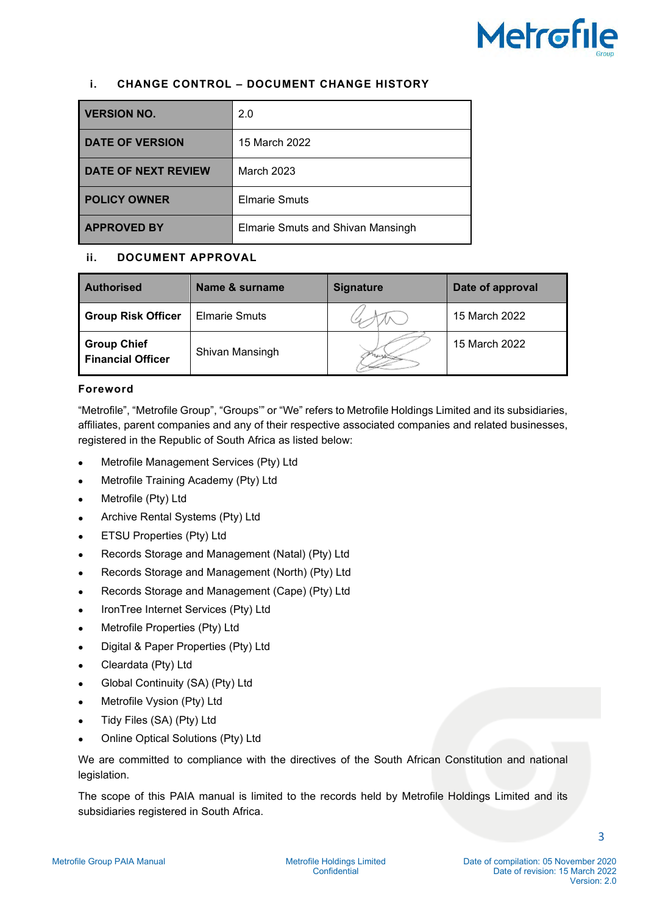# **Metrofile**

# <span id="page-2-0"></span>**i. CHANGE CONTROL – DOCUMENT CHANGE HISTORY**

| <b>VERSION NO.</b>         | 2.0                               |
|----------------------------|-----------------------------------|
| <b>DATE OF VERSION</b>     | 15 March 2022                     |
| <b>DATE OF NEXT REVIEW</b> | <b>March 2023</b>                 |
| <b>POLICY OWNER</b>        | <b>Elmarie Smuts</b>              |
| <b>APPROVED BY</b>         | Elmarie Smuts and Shivan Mansingh |

# <span id="page-2-1"></span>**ii. DOCUMENT APPROVAL**

| <b>Authorised</b>                              | Name & surname       | <b>Signature</b> | Date of approval |
|------------------------------------------------|----------------------|------------------|------------------|
| <b>Group Risk Officer</b>                      | <b>Elmarie Smuts</b> |                  | 15 March 2022    |
| <b>Group Chief</b><br><b>Financial Officer</b> | Shivan Mansingh      |                  | 15 March 2022    |

# <span id="page-2-2"></span>**Foreword**

"Metrofile", "Metrofile Group", "Groups'" or "We" refers to Metrofile Holdings Limited and its subsidiaries, affiliates, parent companies and any of their respective associated companies and related businesses, registered in the Republic of South Africa as listed below:

- Metrofile Management Services (Pty) Ltd
- Metrofile Training Academy (Pty) Ltd
- Metrofile (Pty) Ltd
- Archive Rental Systems (Pty) Ltd
- ETSU Properties (Pty) Ltd
- Records Storage and Management (Natal) (Pty) Ltd
- Records Storage and Management (North) (Pty) Ltd
- Records Storage and Management (Cape) (Pty) Ltd
- IronTree Internet Services (Pty) Ltd
- Metrofile Properties (Pty) Ltd
- Digital & Paper Properties (Pty) Ltd
- Cleardata (Pty) Ltd
- Global Continuity (SA) (Pty) Ltd
- Metrofile Vysion (Pty) Ltd
- Tidy Files (SA) (Pty) Ltd
- Online Optical Solutions (Pty) Ltd

We are committed to compliance with the directives of the South African Constitution and national legislation.

The scope of this PAIA manual is limited to the records held by Metrofile Holdings Limited and its subsidiaries registered in South Africa.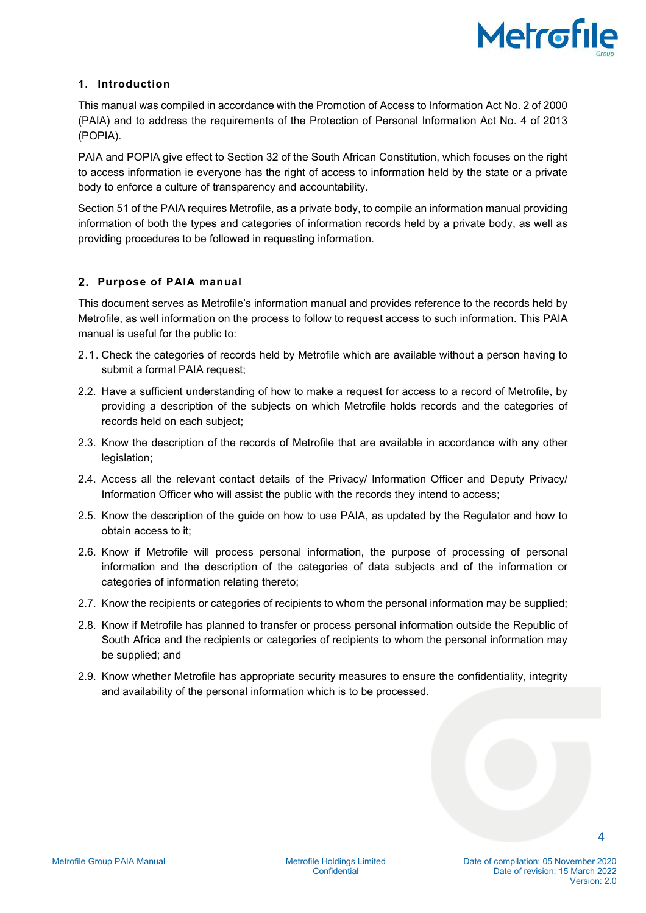

# <span id="page-3-0"></span>**1. Introduction**

This manual was compiled in accordance with the Promotion of Access to Information Act No. 2 of 2000 (PAIA) and to address the requirements of the Protection of Personal Information Act No. 4 of 2013 (POPIA).

PAIA and POPIA give effect to Section 32 of the South African Constitution, which focuses on the right to access information ie everyone has the right of access to information held by the state or a private body to enforce a culture of transparency and accountability.

Section 51 of the PAIA requires Metrofile, as a private body, to compile an information manual providing information of both the types and categories of information records held by a private body, as well as providing procedures to be followed in requesting information.

## <span id="page-3-1"></span>**2. Purpose of PAIA manual**

This document serves as Metrofile's information manual and provides reference to the records held by Metrofile, as well information on the process to follow to request access to such information. This PAIA manual is useful for the public to:

- 2.1. Check the categories of records held by Metrofile which are available without a person having to submit a formal PAIA request;
- 2.2. Have a sufficient understanding of how to make a request for access to a record of Metrofile, by providing a description of the subjects on which Metrofile holds records and the categories of records held on each subject;
- 2.3. Know the description of the records of Metrofile that are available in accordance with any other legislation;
- 2.4. Access all the relevant contact details of the Privacy/ Information Officer and Deputy Privacy/ Information Officer who will assist the public with the records they intend to access;
- 2.5. Know the description of the guide on how to use PAIA, as updated by the Regulator and how to obtain access to it;
- 2.6. Know if Metrofile will process personal information, the purpose of processing of personal information and the description of the categories of data subjects and of the information or categories of information relating thereto;
- 2.7. Know the recipients or categories of recipients to whom the personal information may be supplied;
- 2.8. Know if Metrofile has planned to transfer or process personal information outside the Republic of South Africa and the recipients or categories of recipients to whom the personal information may be supplied; and
- 2.9. Know whether Metrofile has appropriate security measures to ensure the confidentiality, integrity and availability of the personal information which is to be processed.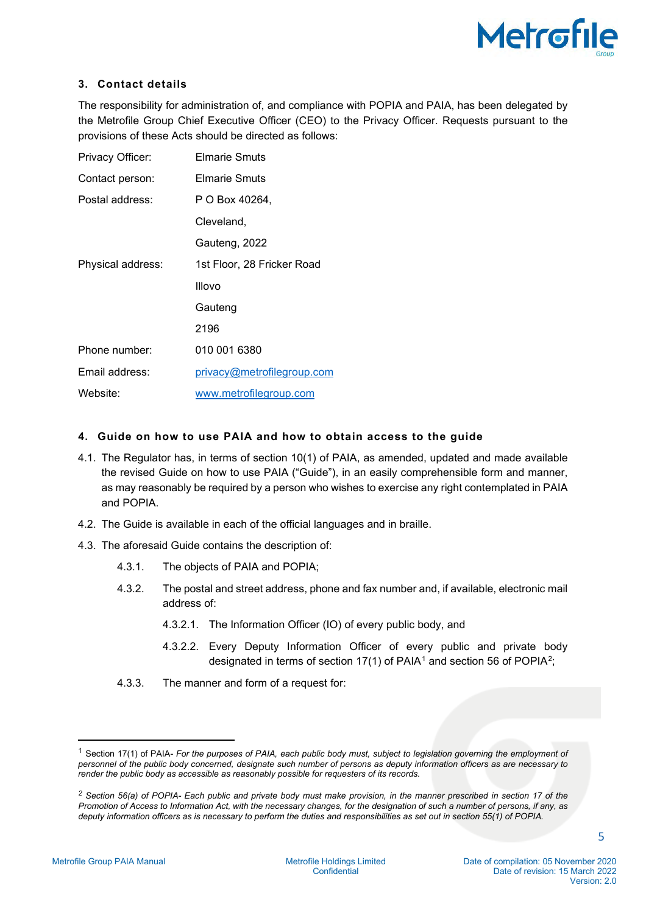

# <span id="page-4-0"></span>**3. Contact details**

The responsibility for administration of, and compliance with POPIA and PAIA, has been delegated by the Metrofile Group Chief Executive Officer (CEO) to the Privacy Officer. Requests pursuant to the provisions of these Acts should be directed as follows:

| Privacy Officer:  | <b>Elmarie Smuts</b>       |
|-------------------|----------------------------|
| Contact person:   | <b>Elmarie Smuts</b>       |
| Postal address:   | P O Box 40264,             |
|                   | Cleveland,                 |
|                   | Gauteng, 2022              |
| Physical address: | 1st Floor, 28 Fricker Road |
|                   | Illovo                     |
|                   | Gauteng                    |
|                   | 2196                       |
| Phone number:     | 010 001 6380               |
| Email address:    | privacy@metrofilegroup.com |
| Website:          | www.metrofilegroup.com     |

## <span id="page-4-1"></span>**4. Guide on how to use PAIA and how to obtain access to the guide**

- 4.1. The Regulator has, in terms of section 10(1) of PAIA, as amended, updated and made available the revised Guide on how to use PAIA ("Guide"), in an easily comprehensible form and manner, as may reasonably be required by a person who wishes to exercise any right contemplated in PAIA and POPIA.
- 4.2. The Guide is available in each of the official languages and in braille.
- 4.3. The aforesaid Guide contains the description of:
	- 4.3.1. The objects of PAIA and POPIA;
	- 4.3.2. The postal and street address, phone and fax number and, if available, electronic mail address of:
		- 4.3.2.1. The Information Officer (IO) of every public body, and
		- 4.3.2.2. Every Deputy Information Officer of every public and private body designated in terms of section [1](#page-4-2)7(1) of PAIA<sup>1</sup> and section 56 of POPIA<sup>2</sup>;
	- 4.3.3. The manner and form of a request for:

Metrofile Group PAIA Manual Metrofile Holdings Limited

<span id="page-4-2"></span><sup>1</sup> Section 17(1) of PAIA- *For the purposes of PAIA, each public body must, subject to legislation governing the employment of personnel of the public body concerned, designate such number of persons as deputy information officers as are necessary to render the public body as accessible as reasonably possible for requesters of its records.* 

<span id="page-4-3"></span>*<sup>2</sup> Section 56(a) of POPIA- Each public and private body must make provision, in the manner prescribed in section 17 of the Promotion of Access to Information Act, with the necessary changes, for the designation of such a number of persons, if any, as deputy information officers as is necessary to perform the duties and responsibilities as set out in section 55(1) of POPIA.*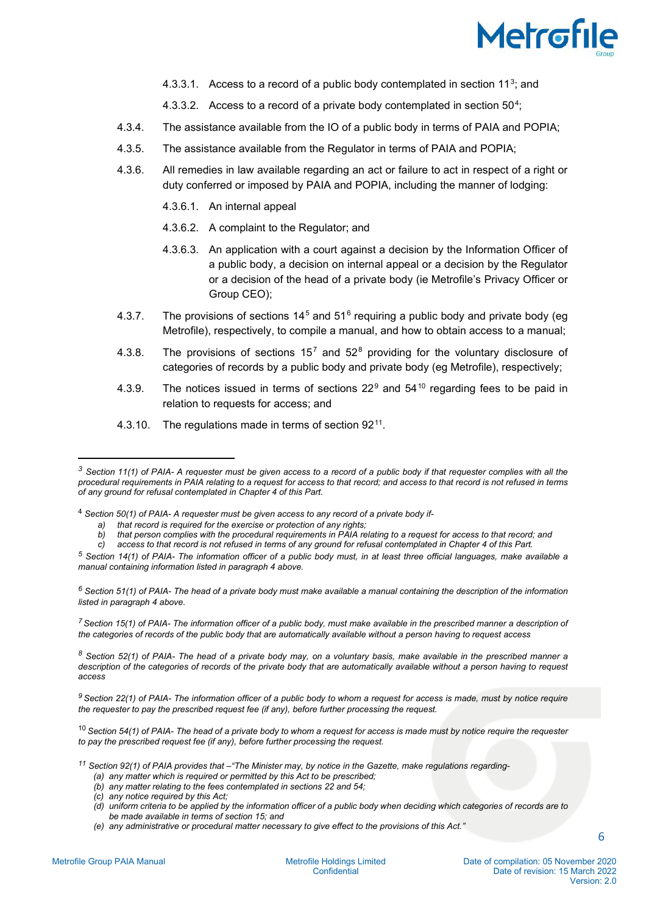

- 4.[3](#page-5-0).3.1. Access to a record of a public body contemplated in section  $11^3$ ; and
- 4.3.3.2. Access to a record of a private body contemplated in section  $50^4$ ;
- 4.3.4. The assistance available from the IO of a public body in terms of PAIA and POPIA;
- 4.3.5. The assistance available from the Regulator in terms of PAIA and POPIA;
- 4.3.6. All remedies in law available regarding an act or failure to act in respect of a right or duty conferred or imposed by PAIA and POPIA, including the manner of lodging:
	- 4.3.6.1. An internal appeal
	- 4.3.6.2. A complaint to the Regulator; and
	- 4.3.6.3. An application with a court against a decision by the Information Officer of a public body, a decision on internal appeal or a decision by the Regulator or a decision of the head of a private body (ie Metrofile's Privacy Officer or Group CEO);
- 4.3.7. The provisions of sections  $14^5$  $14^5$  and  $51^6$  $51^6$  requiring a public body and private body (eq Metrofile), respectively, to compile a manual, and how to obtain access to a manual;
- 4.3.[8](#page-5-5). The provisions of sections  $15^7$  $15^7$  and  $52^8$  providing for the voluntary disclosure of categories of records by a public body and private body (eg Metrofile), respectively;
- 4.3.[9](#page-5-6). The notices issued in terms of sections  $22^9$  and  $54^{10}$  $54^{10}$  $54^{10}$  regarding fees to be paid in relation to requests for access; and
- 4.3.10. The regulations made in terms of section  $92^{11}$  $92^{11}$  $92^{11}$ .

<span id="page-5-1"></span><sup>4</sup> *Section 50(1) of PAIA- A requester must be given access to any record of a private body if-*

<span id="page-5-3"></span>*<sup>6</sup> Section 51(1) of PAIA- The head of a private body must make available a manual containing the description of the information listed in paragraph 4 above.*

<span id="page-5-4"></span>*<sup>7</sup> Section 15(1) of PAIA- The information officer of a public body, must make available in the prescribed manner a description of the categories of records of the public body that are automatically available without a person having to request access*

<span id="page-5-5"></span>*<sup>8</sup> Section 52(1) of PAIA- The head of a private body may, on a voluntary basis, make available in the prescribed manner a description of the categories of records of the private body that are automatically available without a person having to request access*

<span id="page-5-6"></span>*<sup>9</sup> Section 22(1) of PAIA- The information officer of a public body to whom a request for access is made, must by notice require the requester to pay the prescribed request fee (if any), before further processing the request.*

<span id="page-5-7"></span><sup>10</sup> *Section 54(1) of PAIA- The head of a private body to whom a request for access is made must by notice require the requester to pay the prescribed request fee (if any), before further processing the request.*

<span id="page-5-8"></span>*<sup>11</sup> Section 92(1) of PAIA provides that –"The Minister may, by notice in the Gazette, make regulations regarding-* 

- *(b) any matter relating to the fees contemplated in sections 22 and 54;*
- *(c) any notice required by this Act;*
- *(d) uniform criteria to be applied by the information officer of a public body when deciding which categories of records are to be made available in terms of section 15; and*
- *(e) any administrative or procedural matter necessary to give effect to the provisions of this Act."*

<span id="page-5-0"></span>*<sup>3</sup> Section 11(1) of PAIA- A requester must be given access to a record of a public body if that requester complies with all the procedural requirements in PAIA relating to a request for access to that record; and access to that record is not refused in terms of any ground for refusal contemplated in Chapter 4 of this Part.* 

*a) that record is required for the exercise or protection of any rights;*

*b) that person complies with the procedural requirements in PAIA relating to a request for access to that record; and*

*c) access to that record is not refused in terms of any ground for refusal contemplated in Chapter 4 of this Part.*

<span id="page-5-2"></span>*<sup>5</sup> Section 14(1) of PAIA- The information officer of a public body must, in at least three official languages, make available a manual containing information listed in paragraph 4 above.*

*<sup>(</sup>a) any matter which is required or permitted by this Act to be prescribed;*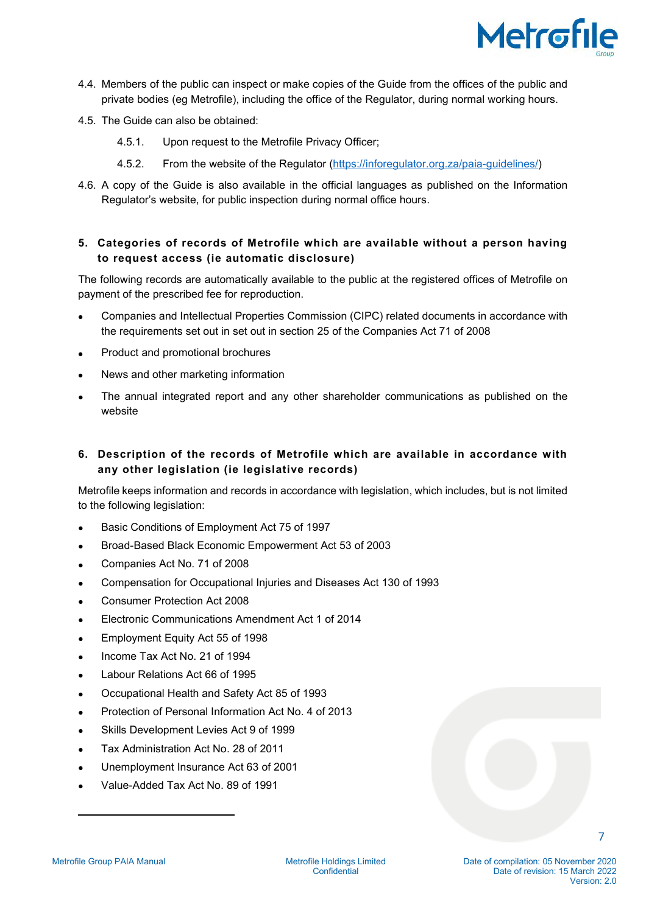

- 4.4. Members of the public can inspect or make copies of the Guide from the offices of the public and private bodies (eg Metrofile), including the office of the Regulator, during normal working hours.
- 4.5. The Guide can also be obtained:
	- 4.5.1. Upon request to the Metrofile Privacy Officer;
	- 4.5.2. From the website of the Regulator [\(https://inforegulator.org.za/paia-guidelines/\)](https://inforegulator.org.za/paia-guidelines/)
- 4.6. A copy of the Guide is also available in the official languages as published on the Information Regulator's website, for public inspection during normal office hours.

# <span id="page-6-0"></span>**5. Categories of records of Metrofile which are available without a person having to request access (ie automatic disclosure)**

The following records are automatically available to the public at the registered offices of Metrofile on payment of the prescribed fee for reproduction.

- Companies and Intellectual Properties Commission (CIPC) related documents in accordance with the requirements set out in set out in section 25 of the Companies Act 71 of 2008
- Product and promotional brochures
- News and other marketing information
- The annual integrated report and any other shareholder communications as published on the website
- <span id="page-6-1"></span>**6. Description of the records of Metrofile which are available in accordance with any other legislation (ie legislative records)**

Metrofile keeps information and records in accordance with legislation, which includes, but is not limited to the following legislation:

- Basic Conditions of Employment Act 75 of 1997
- Broad-Based Black Economic Empowerment Act 53 of 2003
- Companies Act No. 71 of 2008
- Compensation for Occupational Injuries and Diseases Act 130 of 1993
- Consumer Protection Act 2008
- Electronic Communications Amendment Act 1 of 2014
- Employment Equity Act 55 of 1998
- Income Tax Act No. 21 of 1994
- Labour Relations Act 66 of 1995
- Occupational Health and Safety Act 85 of 1993
- Protection of Personal Information Act No. 4 of 2013
- Skills Development Levies Act 9 of 1999
- Tax Administration Act No. 28 of 2011
- Unemployment Insurance Act 63 of 2001
- Value-Added Tax Act No. 89 of 1991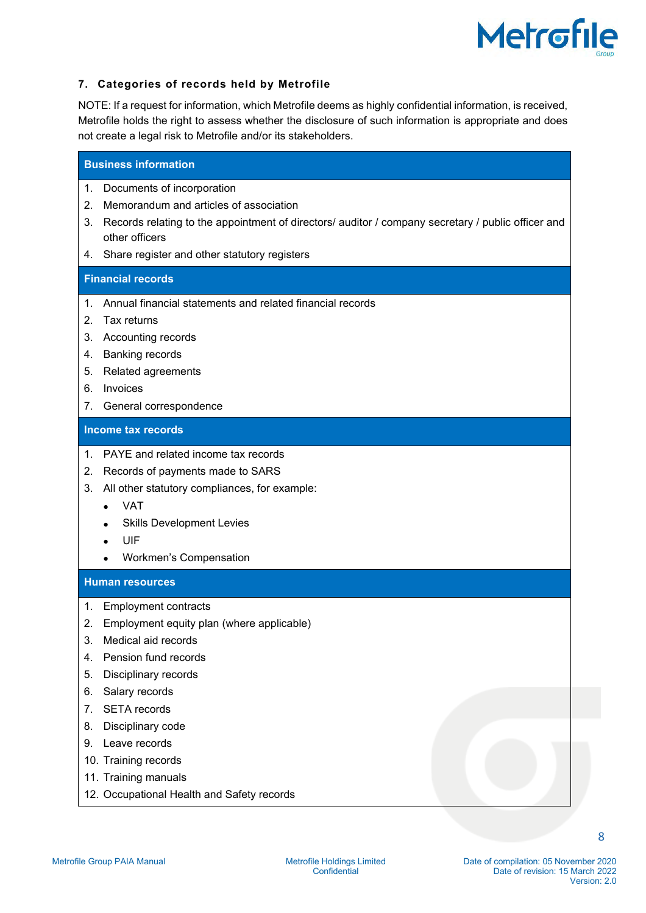

# <span id="page-7-0"></span>**7. Categories of records held by Metrofile**

NOTE: If a request for information, which Metrofile deems as highly confidential information, is received, Metrofile holds the right to assess whether the disclosure of such information is appropriate and does not create a legal risk to Metrofile and/or its stakeholders.

#### **Business information**

- 1. Documents of incorporation
- 2. Memorandum and articles of association
- 3. Records relating to the appointment of directors/ auditor / company secretary / public officer and other officers
- 4. Share register and other statutory registers

# **Financial records**

- 1. Annual financial statements and related financial records
- 2. Tax returns
- 3. Accounting records
- 4. Banking records
- 5. Related agreements
- 6. Invoices
- 7. General correspondence

### **Income tax records**

- 1. PAYE and related income tax records
- 2. Records of payments made to SARS
- 3. All other statutory compliances, for example:
	- VAT
	- Skills Development Levies
	- UIF
	- Workmen's Compensation

#### **Human resources**

- 1. Employment contracts
- 2. Employment equity plan (where applicable)
- 3. Medical aid records
- 4. Pension fund records
- 5. Disciplinary records
- 6. Salary records
- 7. SETA records
- 8. Disciplinary code
- 9. Leave records
- 10. Training records
- 11. Training manuals
- 12. Occupational Health and Safety records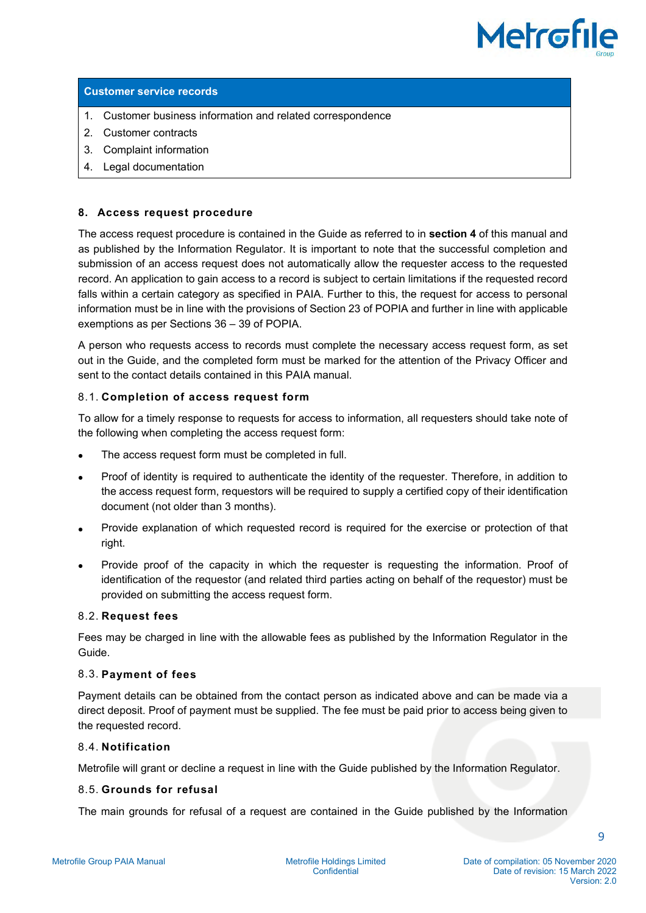

#### **Customer service records**

- 1. Customer business information and related correspondence
- 2. Customer contracts
- 3. Complaint information
- 4. Legal documentation

#### <span id="page-8-0"></span>**8. Access request procedure**

The access request procedure is contained in the Guide as referred to in **section 4** of this manual and as published by the Information Regulator. It is important to note that the successful completion and submission of an access request does not automatically allow the requester access to the requested record. An application to gain access to a record is subject to certain limitations if the requested record falls within a certain category as specified in PAIA. Further to this, the request for access to personal information must be in line with the provisions of Section 23 of POPIA and further in line with applicable exemptions as per Sections 36 – 39 of POPIA.

A person who requests access to records must complete the necessary access request form, as set out in the Guide, and the completed form must be marked for the attention of the Privacy Officer and sent to the contact details contained in this PAIA manual.

#### 8.1. **Completion of access request form**

To allow for a timely response to requests for access to information, all requesters should take note of the following when completing the access request form:

- The access request form must be completed in full.
- Proof of identity is required to authenticate the identity of the requester. Therefore, in addition to the access request form, requestors will be required to supply a certified copy of their identification document (not older than 3 months).
- Provide explanation of which requested record is required for the exercise or protection of that right.
- Provide proof of the capacity in which the requester is requesting the information. Proof of identification of the requestor (and related third parties acting on behalf of the requestor) must be provided on submitting the access request form.

#### 8.2. **Request fees**

Fees may be charged in line with the allowable fees as published by the Information Regulator in the Guide.

#### 8.3. **Payment of fees**

Payment details can be obtained from the contact person as indicated above and can be made via a direct deposit. Proof of payment must be supplied. The fee must be paid prior to access being given to the requested record.

#### 8.4. **Notification**

Metrofile will grant or decline a request in line with the Guide published by the Information Regulator.

### 8.5. **Grounds for refusal**

The main grounds for refusal of a request are contained in the Guide published by the Information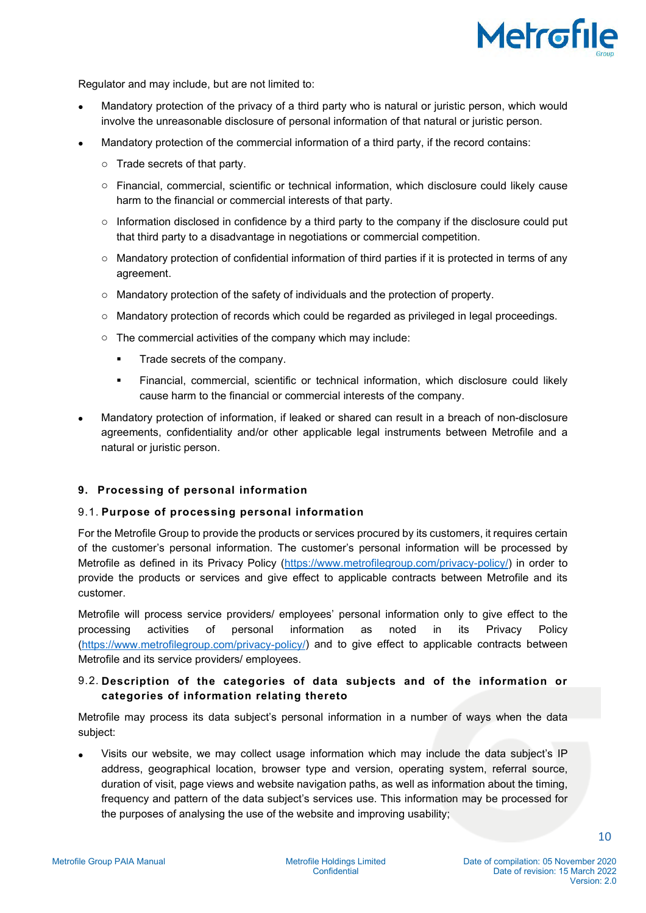

Regulator and may include, but are not limited to:

- Mandatory protection of the privacy of a third party who is natural or juristic person, which would involve the unreasonable disclosure of personal information of that natural or juristic person.
- Mandatory protection of the commercial information of a third party, if the record contains:
	- o Trade secrets of that party.
	- o Financial, commercial, scientific or technical information, which disclosure could likely cause harm to the financial or commercial interests of that party.
	- $\circ$  Information disclosed in confidence by a third party to the company if the disclosure could put that third party to a disadvantage in negotiations or commercial competition.
	- o Mandatory protection of confidential information of third parties if it is protected in terms of any agreement.
	- $\circ$  Mandatory protection of the safety of individuals and the protection of property.
	- o Mandatory protection of records which could be regarded as privileged in legal proceedings.
	- o The commercial activities of the company which may include:
		- Trade secrets of the company.
		- Financial, commercial, scientific or technical information, which disclosure could likely cause harm to the financial or commercial interests of the company.
- Mandatory protection of information, if leaked or shared can result in a breach of non-disclosure agreements, confidentiality and/or other applicable legal instruments between Metrofile and a natural or juristic person.

## <span id="page-9-0"></span>**9. Processing of personal information**

## 9.1. **Purpose of processing personal information**

For the Metrofile Group to provide the products or services procured by its customers, it requires certain of the customer's personal information. The customer's personal information will be processed by Metrofile as defined in its Privacy Policy [\(https://www.metrofilegroup.com/privacy-policy/\)](https://www.metrofilegroup.com/privacy-policy/) in order to provide the products or services and give effect to applicable contracts between Metrofile and its customer.

Metrofile will process service providers/ employees' personal information only to give effect to the processing activities of personal information as noted in its Privacy Policy [\(https://www.metrofilegroup.com/privacy-policy/\)](https://www.metrofilegroup.com/privacy-policy/) and to give effect to applicable contracts between Metrofile and its service providers/ employees.

# 9.2. **Description of the categories of data subjects and of the information or categories of information relating thereto**

Metrofile may process its data subject's personal information in a number of ways when the data subject:

• Visits our website, we may collect usage information which may include the data subject's IP address, geographical location, browser type and version, operating system, referral source, duration of visit, page views and website navigation paths, as well as information about the timing, frequency and pattern of the data subject's services use. This information may be processed for the purposes of analysing the use of the website and improving usability;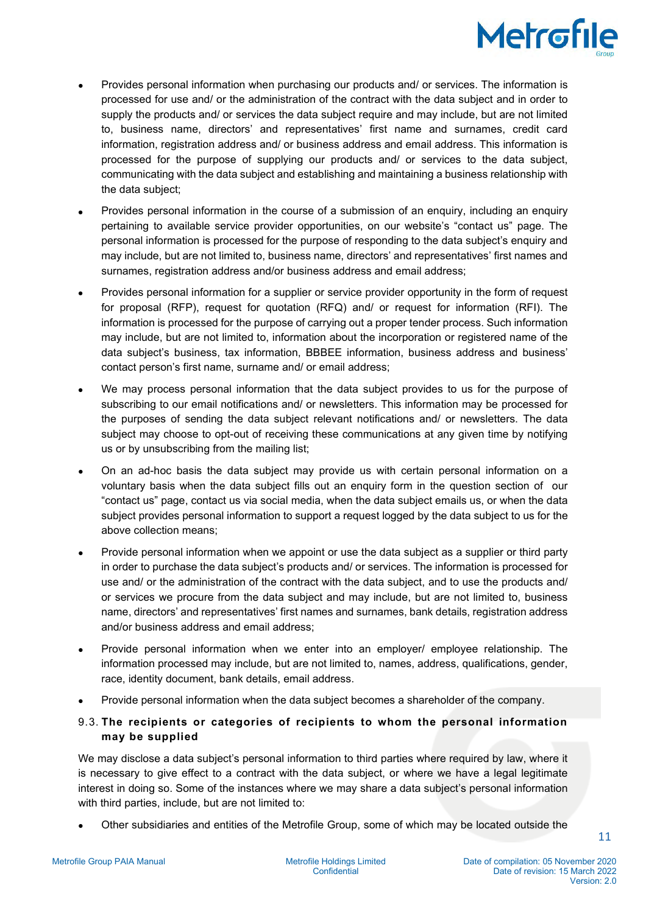

- Provides personal information when purchasing our products and/ or services. The information is processed for use and/ or the administration of the contract with the data subject and in order to supply the products and/ or services the data subject require and may include, but are not limited to, business name, directors' and representatives' first name and surnames, credit card information, registration address and/ or business address and email address. This information is processed for the purpose of supplying our products and/ or services to the data subject, communicating with the data subject and establishing and maintaining a business relationship with the data subject;
- Provides personal information in the course of a submission of an enquiry, including an enquiry pertaining to available service provider opportunities, on our website's "contact us" page. The personal information is processed for the purpose of responding to the data subject's enquiry and may include, but are not limited to, business name, directors' and representatives' first names and surnames, registration address and/or business address and email address;
- Provides personal information for a supplier or service provider opportunity in the form of request for proposal (RFP), request for quotation (RFQ) and/ or request for information (RFI). The information is processed for the purpose of carrying out a proper tender process. Such information may include, but are not limited to, information about the incorporation or registered name of the data subject's business, tax information, BBBEE information, business address and business' contact person's first name, surname and/ or email address;
- We may process personal information that the data subject provides to us for the purpose of subscribing to our email notifications and/ or newsletters. This information may be processed for the purposes of sending the data subject relevant notifications and/ or newsletters. The data subject may choose to opt-out of receiving these communications at any given time by notifying us or by unsubscribing from the mailing list;
- On an ad-hoc basis the data subject may provide us with certain personal information on a voluntary basis when the data subject fills out an enquiry form in the question section of our "contact us" page, contact us via social media, when the data subject emails us, or when the data subject provides personal information to support a request logged by the data subject to us for the above collection means;
- Provide personal information when we appoint or use the data subject as a supplier or third party in order to purchase the data subject's products and/ or services. The information is processed for use and/ or the administration of the contract with the data subject, and to use the products and/ or services we procure from the data subject and may include, but are not limited to, business name, directors' and representatives' first names and surnames, bank details, registration address and/or business address and email address;
- Provide personal information when we enter into an employer/ employee relationship. The information processed may include, but are not limited to, names, address, qualifications, gender, race, identity document, bank details, email address.
- Provide personal information when the data subject becomes a shareholder of the company.

# 9.3. **The recipients or categories of recipients to whom the personal information may be supplied**

We may disclose a data subject's personal information to third parties where required by law, where it is necessary to give effect to a contract with the data subject, or where we have a legal legitimate interest in doing so. Some of the instances where we may share a data subject's personal information with third parties, include, but are not limited to:

• Other subsidiaries and entities of the Metrofile Group, some of which may be located outside the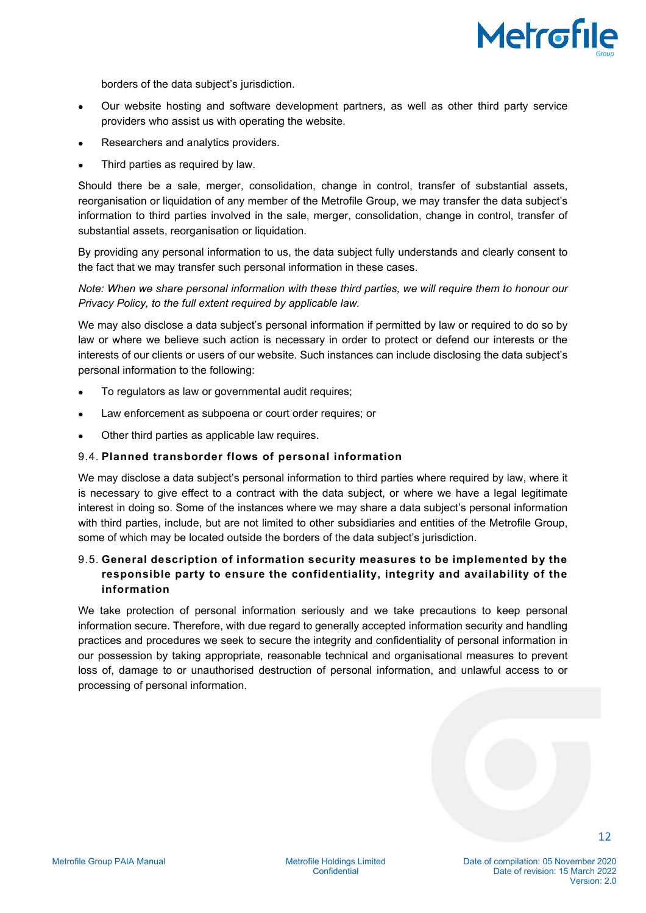

borders of the data subject's jurisdiction.

- Our website hosting and software development partners, as well as other third party service providers who assist us with operating the website.
- Researchers and analytics providers.
- Third parties as required by law.

Should there be a sale, merger, consolidation, change in control, transfer of substantial assets, reorganisation or liquidation of any member of the Metrofile Group, we may transfer the data subject's information to third parties involved in the sale, merger, consolidation, change in control, transfer of substantial assets, reorganisation or liquidation.

By providing any personal information to us, the data subject fully understands and clearly consent to the fact that we may transfer such personal information in these cases.

*Note: When we share personal information with these third parties, we will require them to honour our Privacy Policy, to the full extent required by applicable law.*

We may also disclose a data subject's personal information if permitted by law or required to do so by law or where we believe such action is necessary in order to protect or defend our interests or the interests of our clients or users of our website. Such instances can include disclosing the data subject's personal information to the following:

- To regulators as law or governmental audit requires;
- Law enforcement as subpoena or court order requires; or
- Other third parties as applicable law requires.

#### 9.4. **Planned transborder flows of personal information**

We may disclose a data subject's personal information to third parties where required by law, where it is necessary to give effect to a contract with the data subject, or where we have a legal legitimate interest in doing so. Some of the instances where we may share a data subject's personal information with third parties, include, but are not limited to other subsidiaries and entities of the Metrofile Group, some of which may be located outside the borders of the data subject's jurisdiction.

# 9.5. **General description of information security measures to be implemented by the responsible party to ensure the confidentiality, integrity and availability of the information**

We take protection of personal information seriously and we take precautions to keep personal information secure. Therefore, with due regard to generally accepted information security and handling practices and procedures we seek to secure the integrity and confidentiality of personal information in our possession by taking appropriate, reasonable technical and organisational measures to prevent loss of, damage to or unauthorised destruction of personal information, and unlawful access to or processing of personal information.